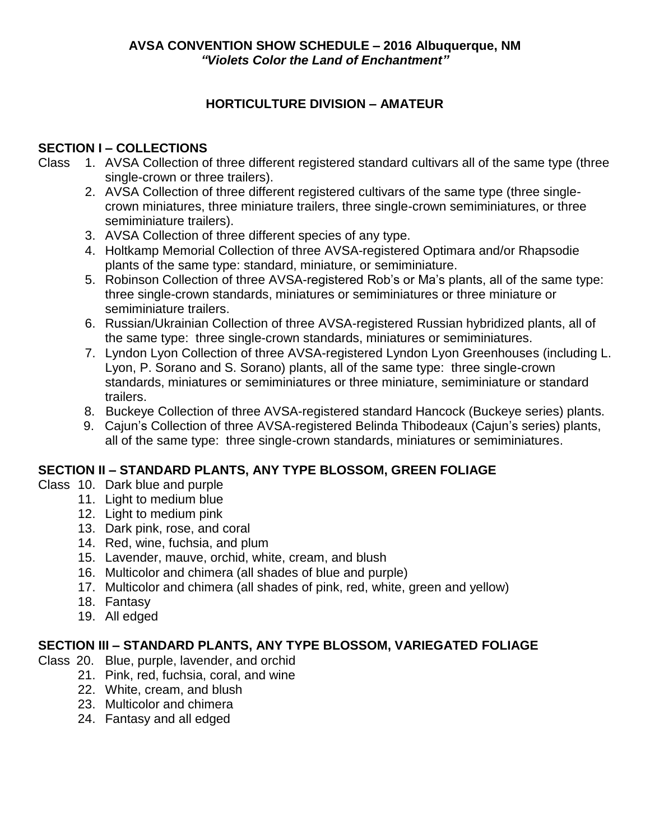# **HORTICULTURE DIVISION – AMATEUR**

# **SECTION I – COLLECTIONS**

- Class 1. AVSA Collection of three different registered standard cultivars all of the same type (three single-crown or three trailers).
	- 2. AVSA Collection of three different registered cultivars of the same type (three singlecrown miniatures, three miniature trailers, three single-crown semiminiatures, or three semiminiature trailers).
	- 3. AVSA Collection of three different species of any type.
	- 4. Holtkamp Memorial Collection of three AVSA-registered Optimara and/or Rhapsodie plants of the same type: standard, miniature, or semiminiature.
	- 5. Robinson Collection of three AVSA-registered Rob's or Ma's plants, all of the same type: three single-crown standards, miniatures or semiminiatures or three miniature or semiminiature trailers.
	- 6. Russian/Ukrainian Collection of three AVSA-registered Russian hybridized plants, all of the same type: three single-crown standards, miniatures or semiminiatures.
	- 7. Lyndon Lyon Collection of three AVSA-registered Lyndon Lyon Greenhouses (including L. Lyon, P. Sorano and S. Sorano) plants, all of the same type: three single-crown standards, miniatures or semiminiatures or three miniature, semiminiature or standard trailers.
	- 8. Buckeye Collection of three AVSA-registered standard Hancock (Buckeye series) plants.
	- 9. Cajun's Collection of three AVSA-registered Belinda Thibodeaux (Cajun's series) plants, all of the same type: three single-crown standards, miniatures or semiminiatures.

# **SECTION II – STANDARD PLANTS, ANY TYPE BLOSSOM, GREEN FOLIAGE**

- Class 10. Dark blue and purple
	- 11. Light to medium blue
	- 12. Light to medium pink
	- 13. Dark pink, rose, and coral
	- 14. Red, wine, fuchsia, and plum
	- 15. Lavender, mauve, orchid, white, cream, and blush
	- 16. Multicolor and chimera (all shades of blue and purple)
	- 17. Multicolor and chimera (all shades of pink, red, white, green and yellow)
	- 18. Fantasy
	- 19. All edged

## **SECTION III – STANDARD PLANTS, ANY TYPE BLOSSOM, VARIEGATED FOLIAGE**

- Class 20. Blue, purple, lavender, and orchid
	- 21. Pink, red, fuchsia, coral, and wine
		- 22. White, cream, and blush
		- 23. Multicolor and chimera
		- 24. Fantasy and all edged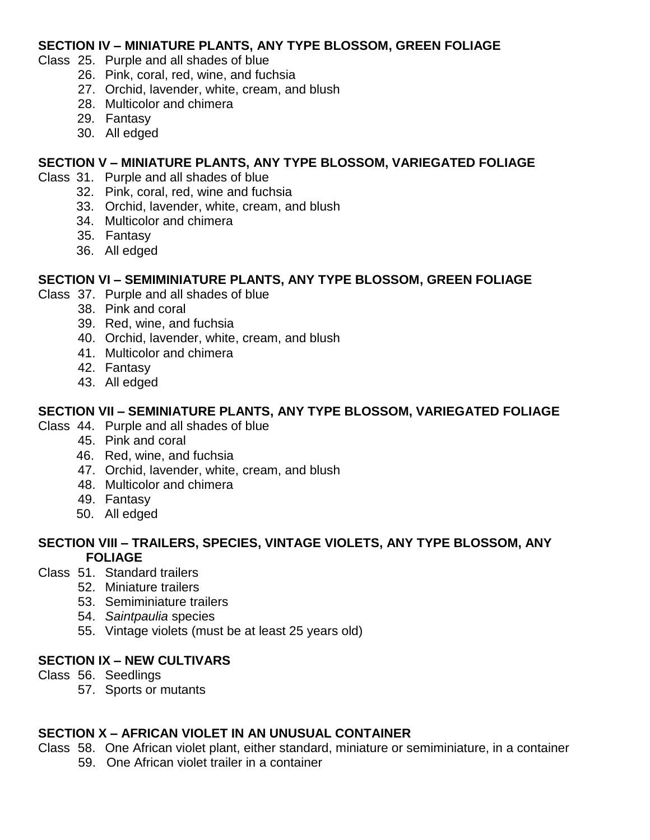#### **SECTION IV – MINIATURE PLANTS, ANY TYPE BLOSSOM, GREEN FOLIAGE**

- Class 25. Purple and all shades of blue
	- 26. Pink, coral, red, wine, and fuchsia
	- 27. Orchid, lavender, white, cream, and blush
	- 28. Multicolor and chimera
	- 29. Fantasy
	- 30. All edged

#### **SECTION V – MINIATURE PLANTS, ANY TYPE BLOSSOM, VARIEGATED FOLIAGE**

- Class 31. Purple and all shades of blue
	- 32. Pink, coral, red, wine and fuchsia
	- 33. Orchid, lavender, white, cream, and blush
	- 34. Multicolor and chimera
	- 35. Fantasy
	- 36. All edged

#### **SECTION VI – SEMIMINIATURE PLANTS, ANY TYPE BLOSSOM, GREEN FOLIAGE**

- Class 37. Purple and all shades of blue
	- 38. Pink and coral
		- 39. Red, wine, and fuchsia
		- 40. Orchid, lavender, white, cream, and blush
		- 41. Multicolor and chimera
		- 42. Fantasy
		- 43. All edged

#### **SECTION VII – SEMINIATURE PLANTS, ANY TYPE BLOSSOM, VARIEGATED FOLIAGE**

- Class 44. Purple and all shades of blue
	- 45. Pink and coral
	- 46. Red, wine, and fuchsia
	- 47. Orchid, lavender, white, cream, and blush
	- 48. Multicolor and chimera
	- 49. Fantasy
	- 50. All edged

#### **SECTION VIII – TRAILERS, SPECIES, VINTAGE VIOLETS, ANY TYPE BLOSSOM, ANY FOLIAGE**

- Class 51. Standard trailers
	- 52. Miniature trailers
	- 53. Semiminiature trailers
	- 54. *Saintpaulia* species
	- 55. Vintage violets (must be at least 25 years old)

#### **SECTION IX – NEW CULTIVARS**

- Class 56. Seedlings
	- 57. Sports or mutants

#### **SECTION X – AFRICAN VIOLET IN AN UNUSUAL CONTAINER**

- Class 58. One African violet plant, either standard, miniature or semiminiature, in a container
	- 59. One African violet trailer in a container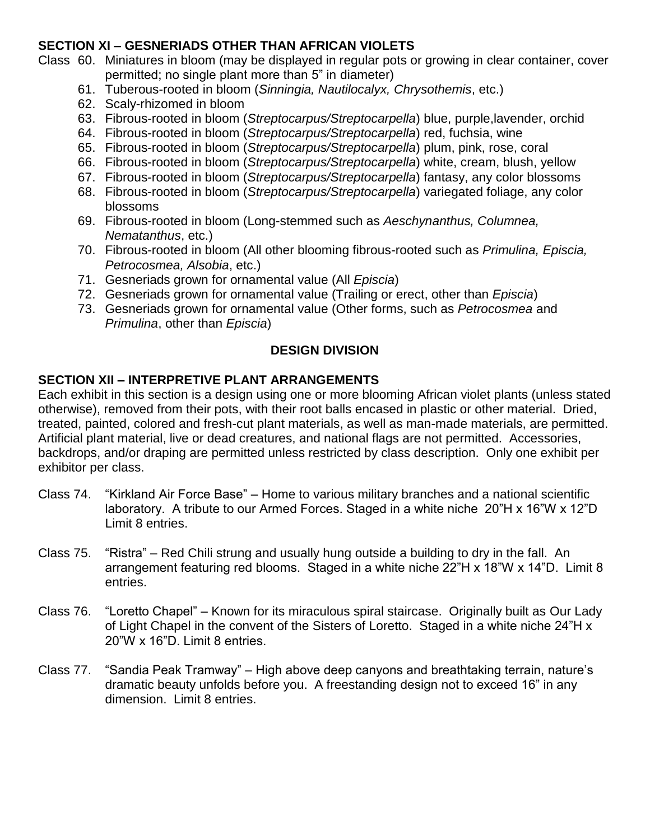## **SECTION XI – GESNERIADS OTHER THAN AFRICAN VIOLETS**

- Class 60. Miniatures in bloom (may be displayed in regular pots or growing in clear container, cover permitted; no single plant more than 5" in diameter)
	- 61. Tuberous-rooted in bloom (*Sinningia, Nautilocalyx, Chrysothemis*, etc.)
	- 62. Scaly-rhizomed in bloom
	- 63. Fibrous-rooted in bloom (*Streptocarpus/Streptocarpella*) blue, purple,lavender, orchid
	- 64. Fibrous-rooted in bloom (*Streptocarpus/Streptocarpella*) red, fuchsia, wine
	- 65. Fibrous-rooted in bloom (*Streptocarpus/Streptocarpella*) plum, pink, rose, coral
	- 66. Fibrous-rooted in bloom (*Streptocarpus/Streptocarpella*) white, cream, blush, yellow
	- 67. Fibrous-rooted in bloom (*Streptocarpus/Streptocarpella*) fantasy, any color blossoms
	- 68. Fibrous-rooted in bloom (*Streptocarpus/Streptocarpella*) variegated foliage, any color blossoms
	- 69. Fibrous-rooted in bloom (Long-stemmed such as *Aeschynanthus, Columnea, Nematanthus*, etc.)
	- 70. Fibrous-rooted in bloom (All other blooming fibrous-rooted such as *Primulina, Episcia, Petrocosmea, Alsobia*, etc.)
	- 71. Gesneriads grown for ornamental value (All *Episcia*)
	- 72. Gesneriads grown for ornamental value (Trailing or erect, other than *Episcia*)
	- 73. Gesneriads grown for ornamental value (Other forms, such as *Petrocosmea* and *Primulina*, other than *Episcia*)

#### **DESIGN DIVISION**

## **SECTION XII – INTERPRETIVE PLANT ARRANGEMENTS**

Each exhibit in this section is a design using one or more blooming African violet plants (unless stated otherwise), removed from their pots, with their root balls encased in plastic or other material. Dried, treated, painted, colored and fresh-cut plant materials, as well as man-made materials, are permitted. Artificial plant material, live or dead creatures, and national flags are not permitted. Accessories, backdrops, and/or draping are permitted unless restricted by class description. Only one exhibit per exhibitor per class.

- Class 74. "Kirkland Air Force Base" Home to various military branches and a national scientific laboratory. A tribute to our Armed Forces. Staged in a white niche 20"H x 16"W x 12"D Limit 8 entries.
- Class 75. "Ristra" Red Chili strung and usually hung outside a building to dry in the fall. An arrangement featuring red blooms. Staged in a white niche 22"H x 18"W x 14"D. Limit 8 entries.
- Class 76. "Loretto Chapel" Known for its miraculous spiral staircase. Originally built as Our Lady of Light Chapel in the convent of the Sisters of Loretto. Staged in a white niche 24"H x 20"W x 16"D. Limit 8 entries.
- Class 77. "Sandia Peak Tramway" High above deep canyons and breathtaking terrain, nature's dramatic beauty unfolds before you. A freestanding design not to exceed 16" in any dimension. Limit 8 entries.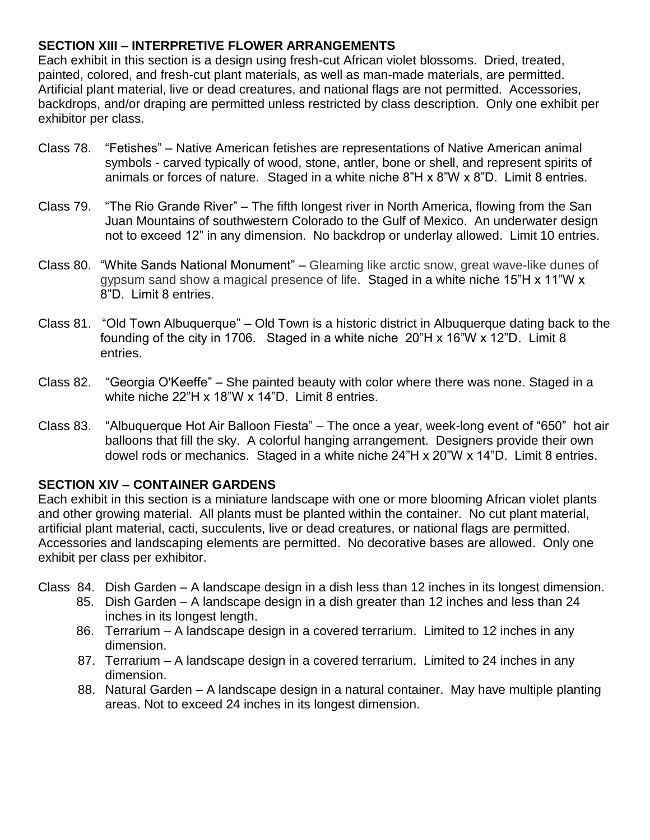## **SECTION XIII – INTERPRETIVE FLOWER ARRANGEMENTS**

Each exhibit in this section is a design using fresh-cut African violet blossoms. Dried, treated, painted, colored, and fresh-cut plant materials, as well as man-made materials, are permitted. Artificial plant material, live or dead creatures, and national flags are not permitted. Accessories, backdrops, and/or draping are permitted unless restricted by class description. Only one exhibit per exhibitor per class.

- Class 78. "Fetishes" Native American fetishes are representations of Native American animal symbols - carved typically of wood, stone, antler, bone or shell, and represent spirits of animals or forces of nature. Staged in a white niche 8"H x 8"W x 8"D. Limit 8 entries.
- Class 79. "The Rio Grande River" The fifth longest river in North America, flowing from the San Juan Mountains of southwestern Colorado to the Gulf of Mexico. An underwater design not to exceed 12" in any dimension. No backdrop or underlay allowed. Limit 10 entries.
- Class 80. "White Sands National Monument" Gleaming like arctic snow, great wave-like dunes of gypsum sand show a magical presence of life. Staged in a white niche 15"H x 11"W x 8"D. Limit 8 entries.
- Class 81. "Old Town Albuquerque" Old Town is a historic district in Albuquerque dating back to the founding of the city in 1706. Staged in a white niche 20"H x 16"W x 12"D. Limit 8 entries.
- Class 82. "Georgia O'Keeffe" She painted beauty with color where there was none. Staged in a white niche 22"H x 18"W x 14"D. Limit 8 entries.
- Class 83. "Albuquerque Hot Air Balloon Fiesta" The once a year, week-long event of "650" hot air balloons that fill the sky. A colorful hanging arrangement. Designers provide their own dowel rods or mechanics. Staged in a white niche 24"H x 20"W x 14"D. Limit 8 entries.

## **SECTION XIV – CONTAINER GARDENS**

Each exhibit in this section is a miniature landscape with one or more blooming African violet plants and other growing material. All plants must be planted within the container. No cut plant material, artificial plant material, cacti, succulents, live or dead creatures, or national flags are permitted. Accessories and landscaping elements are permitted. No decorative bases are allowed. Only one exhibit per class per exhibitor.

Class 84. Dish Garden – A landscape design in a dish less than 12 inches in its longest dimension.

- 85. Dish Garden A landscape design in a dish greater than 12 inches and less than 24 inches in its longest length.
- 86. Terrarium A landscape design in a covered terrarium. Limited to 12 inches in any dimension.
- 87. Terrarium A landscape design in a covered terrarium. Limited to 24 inches in any dimension.
- 88. Natural Garden A landscape design in a natural container. May have multiple planting areas. Not to exceed 24 inches in its longest dimension.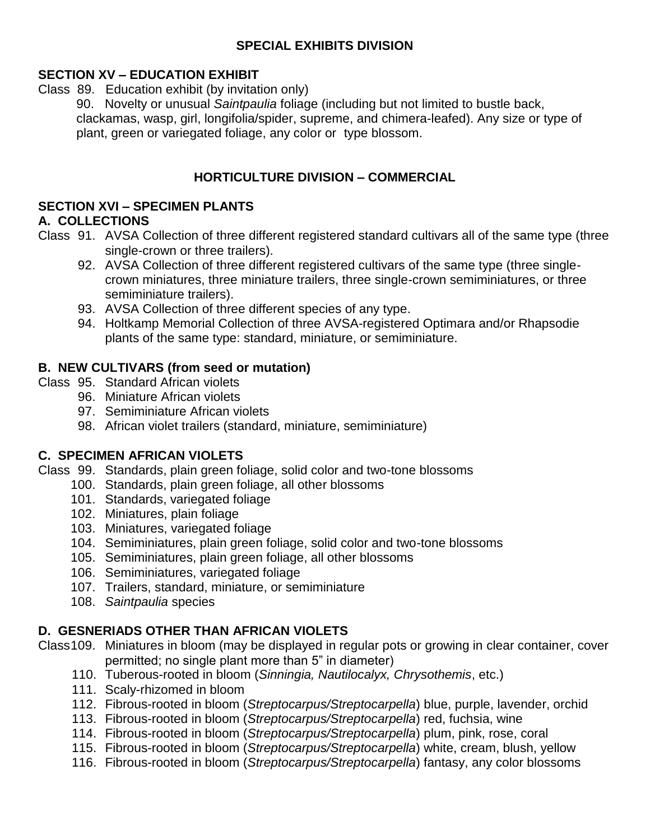## **SPECIAL EXHIBITS DIVISION**

# **SECTION XV – EDUCATION EXHIBIT**

Class 89. Education exhibit (by invitation only)

 90. Novelty or unusual *Saintpaulia* foliage (including but not limited to bustle back, clackamas, wasp, girl, longifolia/spider, supreme, and chimera-leafed). Any size or type of plant, green or variegated foliage, any color or type blossom.

# **HORTICULTURE DIVISION – COMMERCIAL**

## **SECTION XVI – SPECIMEN PLANTS**

## **A. COLLECTIONS**

- Class 91. AVSA Collection of three different registered standard cultivars all of the same type (three single-crown or three trailers).
	- 92. AVSA Collection of three different registered cultivars of the same type (three singlecrown miniatures, three miniature trailers, three single-crown semiminiatures, or three semiminiature trailers).
	- 93. AVSA Collection of three different species of any type.
	- 94. Holtkamp Memorial Collection of three AVSA-registered Optimara and/or Rhapsodie plants of the same type: standard, miniature, or semiminiature.

## **B. NEW CULTIVARS (from seed or mutation)**

- Class 95. Standard African violets
	- 96. Miniature African violets
	- 97. Semiminiature African violets
	- 98. African violet trailers (standard, miniature, semiminiature)

## **C. SPECIMEN AFRICAN VIOLETS**

- Class 99. Standards, plain green foliage, solid color and two-tone blossoms
	- 100. Standards, plain green foliage, all other blossoms
		- 101. Standards, variegated foliage
		- 102. Miniatures, plain foliage
		- 103. Miniatures, variegated foliage
		- 104. Semiminiatures, plain green foliage, solid color and two-tone blossoms
		- 105. Semiminiatures, plain green foliage, all other blossoms
		- 106. Semiminiatures, variegated foliage
		- 107. Trailers, standard, miniature, or semiminiature
		- 108. *Saintpaulia* species

# **D. GESNERIADS OTHER THAN AFRICAN VIOLETS**

- Class109. Miniatures in bloom (may be displayed in regular pots or growing in clear container, cover permitted; no single plant more than 5" in diameter)
	- 110. Tuberous-rooted in bloom (*Sinningia, Nautilocalyx, Chrysothemis*, etc.)
	- 111. Scaly-rhizomed in bloom
	- 112. Fibrous-rooted in bloom (*Streptocarpus/Streptocarpella*) blue, purple, lavender, orchid
	- 113. Fibrous-rooted in bloom (*Streptocarpus/Streptocarpella*) red, fuchsia, wine
	- 114. Fibrous-rooted in bloom (*Streptocarpus/Streptocarpella*) plum, pink, rose, coral
	- 115. Fibrous-rooted in bloom (*Streptocarpus/Streptocarpella*) white, cream, blush, yellow
	- 116. Fibrous-rooted in bloom (*Streptocarpus/Streptocarpella*) fantasy, any color blossoms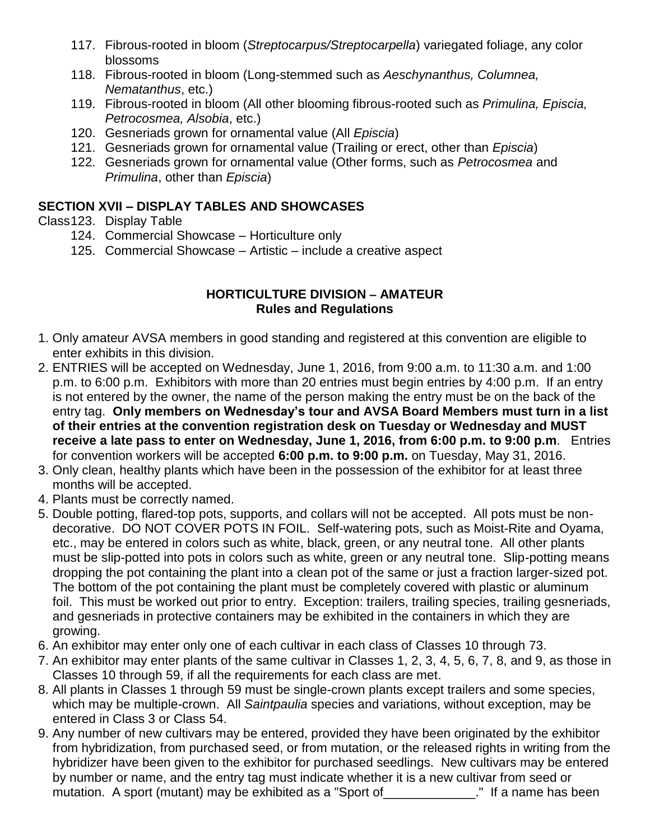- 117. Fibrous-rooted in bloom (*Streptocarpus/Streptocarpella*) variegated foliage, any color blossoms
- 118. Fibrous-rooted in bloom (Long-stemmed such as *Aeschynanthus, Columnea, Nematanthus*, etc.)
- 119. Fibrous-rooted in bloom (All other blooming fibrous-rooted such as *Primulina, Episcia, Petrocosmea, Alsobia*, etc.)
- 120. Gesneriads grown for ornamental value (All *Episcia*)
- 121. Gesneriads grown for ornamental value (Trailing or erect, other than *Episcia*)
- 122. Gesneriads grown for ornamental value (Other forms, such as *Petrocosmea* and *Primulina*, other than *Episcia*)

# **SECTION XVII – DISPLAY TABLES AND SHOWCASES**

- Class123. Display Table
	- 124. Commercial Showcase Horticulture only
	- 125. Commercial Showcase Artistic include a creative aspect

#### **HORTICULTURE DIVISION – AMATEUR Rules and Regulations**

- 1. Only amateur AVSA members in good standing and registered at this convention are eligible to enter exhibits in this division.
- 2. ENTRIES will be accepted on Wednesday, June 1, 2016, from 9:00 a.m. to 11:30 a.m. and 1:00 p.m. to 6:00 p.m. Exhibitors with more than 20 entries must begin entries by 4:00 p.m. If an entry is not entered by the owner, the name of the person making the entry must be on the back of the entry tag. **Only members on Wednesday's tour and AVSA Board Members must turn in a list of their entries at the convention registration desk on Tuesday or Wednesday and MUST receive a late pass to enter on Wednesday, June 1, 2016, from 6:00 p.m. to 9:00 p.m**. Entries for convention workers will be accepted **6:00 p.m. to 9:00 p.m.** on Tuesday, May 31, 2016.
- 3. Only clean, healthy plants which have been in the possession of the exhibitor for at least three months will be accepted.
- 4. Plants must be correctly named.
- 5. Double potting, flared-top pots, supports, and collars will not be accepted. All pots must be nondecorative. DO NOT COVER POTS IN FOIL. Self-watering pots, such as Moist-Rite and Oyama, etc., may be entered in colors such as white, black, green, or any neutral tone. All other plants must be slip-potted into pots in colors such as white, green or any neutral tone. Slip-potting means dropping the pot containing the plant into a clean pot of the same or just a fraction larger-sized pot. The bottom of the pot containing the plant must be completely covered with plastic or aluminum foil. This must be worked out prior to entry. Exception: trailers, trailing species, trailing gesneriads, and gesneriads in protective containers may be exhibited in the containers in which they are growing.
- 6. An exhibitor may enter only one of each cultivar in each class of Classes 10 through 73.
- 7. An exhibitor may enter plants of the same cultivar in Classes 1, 2, 3, 4, 5, 6, 7, 8, and 9, as those in Classes 10 through 59, if all the requirements for each class are met.
- 8. All plants in Classes 1 through 59 must be single-crown plants except trailers and some species, which may be multiple-crown. All *Saintpaulia* species and variations, without exception, may be entered in Class 3 or Class 54.
- 9. Any number of new cultivars may be entered, provided they have been originated by the exhibitor from hybridization, from purchased seed, or from mutation, or the released rights in writing from the hybridizer have been given to the exhibitor for purchased seedlings. New cultivars may be entered by number or name, and the entry tag must indicate whether it is a new cultivar from seed or mutation. A sport (mutant) may be exhibited as a "Sport of \_\_\_\_\_\_\_\_\_\_\_\_\_\_." If a name has been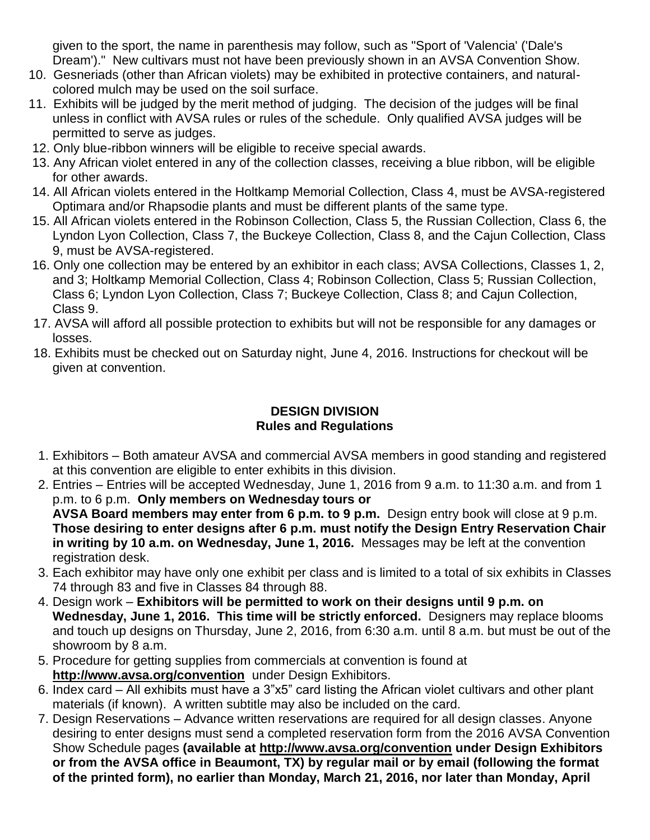given to the sport, the name in parenthesis may follow, such as "Sport of 'Valencia' ('Dale's Dream')." New cultivars must not have been previously shown in an AVSA Convention Show.

- 10. Gesneriads (other than African violets) may be exhibited in protective containers, and naturalcolored mulch may be used on the soil surface.
- 11. Exhibits will be judged by the merit method of judging. The decision of the judges will be final unless in conflict with AVSA rules or rules of the schedule. Only qualified AVSA judges will be permitted to serve as judges.
- 12. Only blue-ribbon winners will be eligible to receive special awards.
- 13. Any African violet entered in any of the collection classes, receiving a blue ribbon, will be eligible for other awards.
- 14. All African violets entered in the Holtkamp Memorial Collection, Class 4, must be AVSA-registered Optimara and/or Rhapsodie plants and must be different plants of the same type.
- 15. All African violets entered in the Robinson Collection, Class 5, the Russian Collection, Class 6, the Lyndon Lyon Collection, Class 7, the Buckeye Collection, Class 8, and the Cajun Collection, Class 9, must be AVSA-registered.
- 16. Only one collection may be entered by an exhibitor in each class; AVSA Collections, Classes 1, 2, and 3; Holtkamp Memorial Collection, Class 4; Robinson Collection, Class 5; Russian Collection, Class 6; Lyndon Lyon Collection, Class 7; Buckeye Collection, Class 8; and Cajun Collection, Class 9.
- 17. AVSA will afford all possible protection to exhibits but will not be responsible for any damages or losses.
- 18. Exhibits must be checked out on Saturday night, June 4, 2016. Instructions for checkout will be given at convention.

## **DESIGN DIVISION Rules and Regulations**

- 1. Exhibitors Both amateur AVSA and commercial AVSA members in good standing and registered at this convention are eligible to enter exhibits in this division.
- 2. Entries Entries will be accepted Wednesday, June 1, 2016 from 9 a.m. to 11:30 a.m. and from 1 p.m. to 6 p.m. **Only members on Wednesday tours or AVSA Board members may enter from 6 p.m. to 9 p.m.** Design entry book will close at 9 p.m. **Those desiring to enter designs after 6 p.m. must notify the Design Entry Reservation Chair in writing by 10 a.m. on Wednesday, June 1, 2016.** Messages may be left at the convention
- registration desk. 3. Each exhibitor may have only one exhibit per class and is limited to a total of six exhibits in Classes 74 through 83 and five in Classes 84 through 88.
- 4. Design work **Exhibitors will be permitted to work on their designs until 9 p.m. on Wednesday, June 1, 2016. This time will be strictly enforced.** Designers may replace blooms and touch up designs on Thursday, June 2, 2016, from 6:30 a.m. until 8 a.m. but must be out of the showroom by 8 a.m.
- 5. Procedure for getting supplies from commercials at convention is found at **<http://www.avsa.org/convention>** under Design Exhibitors.
- 6. Index card All exhibits must have a 3"x5" card listing the African violet cultivars and other plant materials (if known). A written subtitle may also be included on the card.
- 7. Design Reservations Advance written reservations are required for all design classes. Anyone desiring to enter designs must send a completed reservation form from the 2016 AVSA Convention Show Schedule pages **(available at<http://www.avsa.org/convention> under Design Exhibitors or from the AVSA office in Beaumont, TX) by regular mail or by email (following the format of the printed form), no earlier than Monday, March 21, 2016, nor later than Monday, April**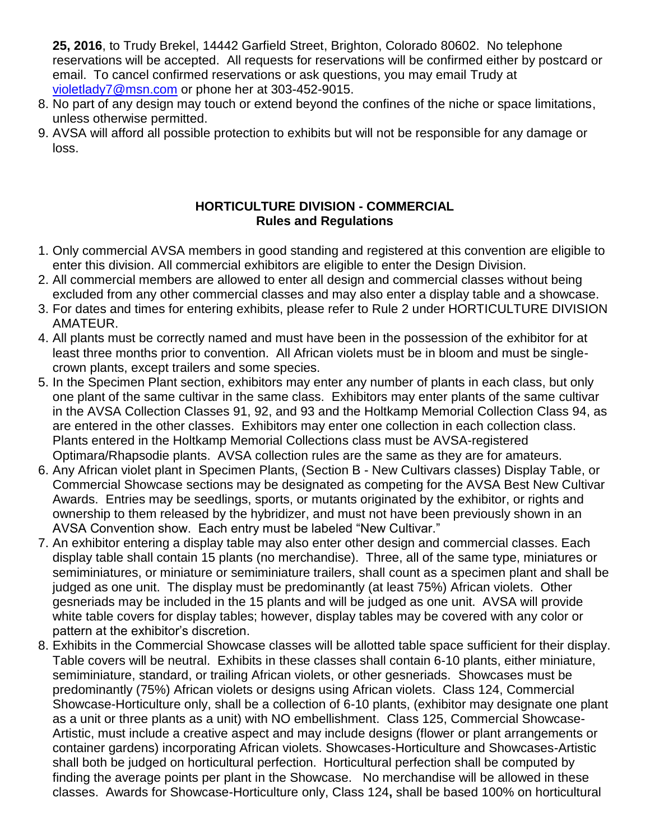**25, 2016**, to Trudy Brekel, 14442 Garfield Street, Brighton, Colorado 80602. No telephone reservations will be accepted. All requests for reservations will be confirmed either by postcard or email. To cancel confirmed reservations or ask questions, you may email Trudy at [violetlady7@msn.com](mailto:violetlady7@msn.com) or phone her at 303-452-9015.

- 8. No part of any design may touch or extend beyond the confines of the niche or space limitations, unless otherwise permitted.
- 9. AVSA will afford all possible protection to exhibits but will not be responsible for any damage or loss.

### **HORTICULTURE DIVISION - COMMERCIAL Rules and Regulations**

- 1. Only commercial AVSA members in good standing and registered at this convention are eligible to enter this division. All commercial exhibitors are eligible to enter the Design Division.
- 2. All commercial members are allowed to enter all design and commercial classes without being excluded from any other commercial classes and may also enter a display table and a showcase.
- 3. For dates and times for entering exhibits, please refer to Rule 2 under HORTICULTURE DIVISION AMATEUR.
- 4. All plants must be correctly named and must have been in the possession of the exhibitor for at least three months prior to convention. All African violets must be in bloom and must be singlecrown plants, except trailers and some species.
- 5. In the Specimen Plant section, exhibitors may enter any number of plants in each class, but only one plant of the same cultivar in the same class. Exhibitors may enter plants of the same cultivar in the AVSA Collection Classes 91, 92, and 93 and the Holtkamp Memorial Collection Class 94, as are entered in the other classes. Exhibitors may enter one collection in each collection class. Plants entered in the Holtkamp Memorial Collections class must be AVSA-registered Optimara/Rhapsodie plants. AVSA collection rules are the same as they are for amateurs.
- 6. Any African violet plant in Specimen Plants, (Section B New Cultivars classes) Display Table, or Commercial Showcase sections may be designated as competing for the AVSA Best New Cultivar Awards. Entries may be seedlings, sports, or mutants originated by the exhibitor, or rights and ownership to them released by the hybridizer, and must not have been previously shown in an AVSA Convention show. Each entry must be labeled "New Cultivar."
- 7. An exhibitor entering a display table may also enter other design and commercial classes. Each display table shall contain 15 plants (no merchandise). Three, all of the same type, miniatures or semiminiatures, or miniature or semiminiature trailers, shall count as a specimen plant and shall be judged as one unit. The display must be predominantly (at least 75%) African violets. Other gesneriads may be included in the 15 plants and will be judged as one unit. AVSA will provide white table covers for display tables; however, display tables may be covered with any color or pattern at the exhibitor's discretion.
- 8. Exhibits in the Commercial Showcase classes will be allotted table space sufficient for their display. Table covers will be neutral. Exhibits in these classes shall contain 6-10 plants, either miniature, semiminiature, standard, or trailing African violets, or other gesneriads. Showcases must be predominantly (75%) African violets or designs using African violets.Class 124, Commercial Showcase-Horticulture only, shall be a collection of 6-10 plants, (exhibitor may designate one plant as a unit or three plants as a unit) with NO embellishment. Class 125, Commercial Showcase-Artistic, must include a creative aspect and may include designs (flower or plant arrangements or container gardens) incorporating African violets. Showcases-Horticulture and Showcases-Artistic shall both be judged on horticultural perfection. Horticultural perfection shall be computed by finding the average points per plant in the Showcase. No merchandise will be allowed in these classes. Awards for Showcase-Horticulture only, Class 124**,** shall be based 100% on horticultural